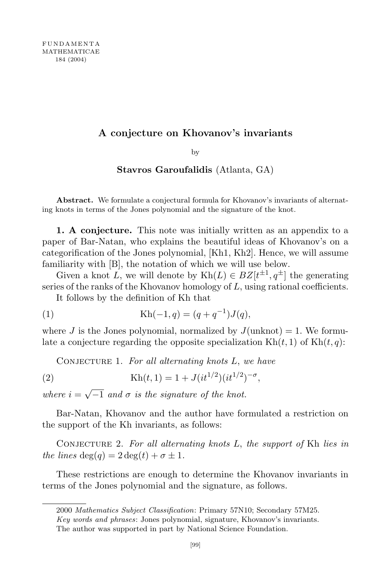## A conjecture on Khovanov's invariants

by

## Stavros Garoufalidis (Atlanta, GA)

Abstract. We formulate a conjectural formula for Khovanov's invariants of alternating knots in terms of the Jones polynomial and the signature of the knot.

1. A conjecture. This note was initially written as an appendix to a paper of Bar-Natan, who explains the beautiful ideas of Khovanov's on a categorification of the Jones polynomial, [Kh1, Kh2]. Hence, we will assume familiarity with [B], the notation of which we will use below.

Given a knot L, we will denote by  $Kh(L) \in BZ[t^{\pm 1}, q^{\pm}]$  the generating series of the ranks of the Khovanov homology of L, using rational coefficients.

It follows by the definition of Kh that

(1) 
$$
Kh(-1,q) = (q+q^{-1})J(q),
$$

where J is the Jones polynomial, normalized by  $J(\text{unknot}) = 1$ . We formulate a conjecture regarding the opposite specialization  $Kh(t, 1)$  of  $Kh(t, q)$ :

CONJECTURE 1. For all alternating knots  $L$ , we have

(2) 
$$
Kh(t, 1) = 1 + J(it^{1/2})(it^{1/2})^{-\sigma},
$$

where  $i = \sqrt{-1}$  and  $\sigma$  is the signature of the knot.

Bar-Natan, Khovanov and the author have formulated a restriction on the support of the Kh invariants, as follows:

CONJECTURE 2. For all alternating knots  $L$ , the support of Kh lies in the lines  $\deg(q) = 2 \deg(t) + \sigma \pm 1$ .

These restrictions are enough to determine the Khovanov invariants in terms of the Jones polynomial and the signature, as follows.

<sup>2000</sup> Mathematics Subject Classification: Primary 57N10; Secondary 57M25.

Key words and phrases: Jones polynomial, signature, Khovanov's invariants.

The author was supported in part by National Science Foundation.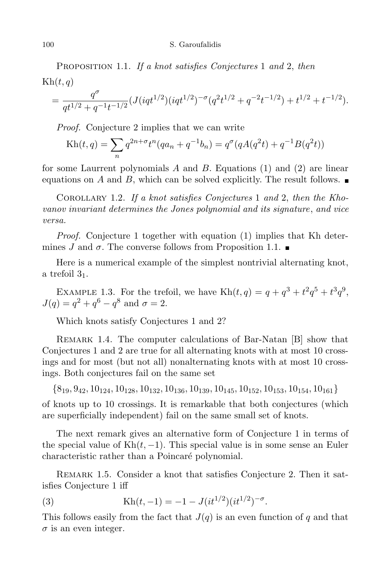## 100 S. Garoufalidis

PROPOSITION 1.1. If a knot satisfies Conjectures 1 and 2, then  $\text{Kh}(t, q)$ 

$$
= \frac{q^{\sigma}}{q t^{1/2} + q^{-1} t^{-1/2}} (J(iqt^{1/2}) (iqt^{1/2})^{-\sigma} (q^2 t^{1/2} + q^{-2} t^{-1/2}) + t^{1/2} + t^{-1/2}).
$$

Proof. Conjecture 2 implies that we can write

$$
Kh(t,q) = \sum_{n} q^{2n+\sigma} t^{n} (qa_n + q^{-1}b_n) = q^{\sigma}(qA(q^2t) + q^{-1}B(q^2t))
$$

for some Laurrent polynomials A and B. Equations  $(1)$  and  $(2)$  are linear equations on A and B, which can be solved explicitly. The result follows.

Corollary 1.2. If a knot satisfies Conjectures 1 and 2, then the Khovanov invariant determines the Jones polynomial and its signature, and vice versa.

*Proof.* Conjecture 1 together with equation (1) implies that Kh determines J and  $\sigma$ . The converse follows from Proposition 1.1.

Here is a numerical example of the simplest nontrivial alternating knot, a trefoil  $3<sub>1</sub>$ .

EXAMPLE 1.3. For the trefoil, we have  $\text{Kh}(t, q) = q + q^3 + t^2 q^5 + t^3 q^9$ ,  $J(q) = q^2 + q^6 - q^8$  and  $\sigma = 2$ .

Which knots satisfy Conjectures 1 and 2?

REMARK 1.4. The computer calculations of Bar-Natan [B] show that Conjectures 1 and 2 are true for all alternating knots with at most 10 crossings and for most (but not all) nonalternating knots with at most 10 crossings. Both conjectures fail on the same set

 $\{8_{19}, 9_{42}, 10_{124}, 10_{128}, 10_{132}, 10_{136}, 10_{139}, 10_{145}, 10_{152}, 10_{153}, 10_{154}, 10_{161}\}$ 

of knots up to 10 crossings. It is remarkable that both conjectures (which are superficially independent) fail on the same small set of knots.

The next remark gives an alternative form of Conjecture 1 in terms of the special value of  $Kh(t, -1)$ . This special value is in some sense an Euler characteristic rather than a Poincaré polynomial.

REMARK 1.5. Consider a knot that satisfies Conjecture 2. Then it satisfies Conjecture 1 iff

(3) 
$$
Kh(t,-1) = -1 - J(it^{1/2})(it^{1/2})^{-\sigma}.
$$

This follows easily from the fact that  $J(q)$  is an even function of q and that  $\sigma$  is an even integer.